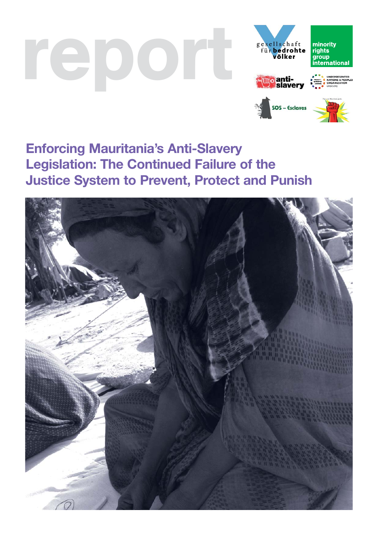# report







# **Enforcing Mauritania's Anti-Slavery Legislation: The Continued Failure of the Justice System to Prevent, Protect and Punish**

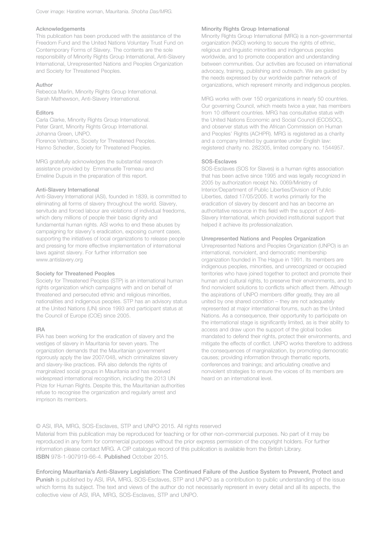#### Acknowledgements

This publication has been produced with the assistance of the Freedom Fund and the United Nations Voluntary Trust Fund on Contemporary Forms of Slavery. The contents are the sole responsibility of Minority Rights Group International, Anti-Slavery International, Unrepresented Nations and Peoples Organization and Society for Threatened Peoples.

#### Author

Rebecca Marlin, Minority Rights Group International. Sarah Mathewson, Anti-Slavery International.

#### Editors

Carla Clarke, Minority Rights Group International. Peter Grant, Minority Rights Group International. Johanna Green, UNPO. Florence Vettraino, Society for Threatened Peoples. Hanno Schedler, Society for Threatened Peoples.

MRG gratefully acknowledges the substantial research assistance provided by Emmanuelle Tremeau and Emeline Dupuis in the preparation of this report.

#### Anti-Slavery International

Anti-Slavery International (ASI), founded in 1839, is committed to eliminating all forms of slavery throughout the world. Slavery, servitude and forced labour are violations of individual freedoms, which deny millions of people their basic dignity and fundamental human rights. ASI works to end these abuses by campaigning for slavery's eradication, exposing current cases, supporting the initiatives of local organizations to release people and pressing for more effective implementation of international laws against slavery. For further information see www.antislavery.org

#### Society for Threatened Peoples

Society for Threatened Peoples (STP) is an international human rights organization which campaigns with and on behalf of threatened and persecuted ethnic and religious minorities, nationalities and indigenous peoples. STP has an advisory status at the United Nations (UN) since 1993 and participant status at the Council of Europe (COE) since 2005.

#### IRA

IRA has been working for the eradication of slavery and the vestiges of slavery in Mauritania for seven years. The organization demands that the Mauritanian government rigorously apply the law 2007/048, which criminalizes slavery and slavery-like practices. IRA also defends the rights of marginalized social groups in Mauritania and has received widespread international recognition, including the 2013 UN Prize for Human Rights. Despite this, the Mauritanian authorities refuse to recognise the organization and regularly arrest and imprison its members.

#### Minority Rights Group International

Minority Rights Group International (MRG) is a non-governmental organization (NGO) working to secure the rights of ethnic, religious and linguistic minorities and indigenous peoples worldwide, and to promote cooperation and understanding between communities. Our activities are focused on international advocacy, training, publishing and outreach. We are guided by the needs expressed by our worldwide partner network of organizations, which represent minority and indigenous peoples.

MRG works with over 150 organizations in nearly 50 countries. Our governing Council, which meets twice a year, has members from 10 different countries. MRG has consultative status with the United Nations Economic and Social Council (ECOSOC), and observer status with the African Commission on Human and Peoples' Rights (ACHPR). MRG is registered as a charity and a company limited by guarantee under English law: registered charity no. 282305, limited company no. 1544957.

#### SOS-Esclaves

SOS-Esclaves (SOS for Slaves) is a human rights association that has been active since 1995 and was legally recognized in 2005 by authorization receipt No. 0069/Ministry of Interior/Department of Public Liberties/Division of Public Liberties, dated 17/05/2005. It works primarily for the eradication of slavery by descent and has an become an authoritative resource in this field with the support of Anti-Slavery International, which provided institutional support that helped it achieve its professionalization.

#### Unrepresented Nations and Peoples Organization

Unrepresented Nations and Peoples Organization (UNPO) is an international, nonviolent, and democratic membership organization founded in The Hague in 1991. Its members are indigenous peoples, minorities, and unrecognized or occupied territories who have joined together to protect and promote their human and cultural rights, to preserve their environments, and to find nonviolent solutions to conflicts which affect them. Although the aspirations of UNPO members differ greatly, they are all united by one shared condition – they are not adequately represented at major international forums, such as the United Nations. As a consequence, their opportunity to participate on the international stage is significantly limited, as is their ability to access and draw upon the support of the global bodies mandated to defend their rights, protect their environments, and mitigate the effects of conflict. UNPO works therefore to address the consequences of marginalization, by promoting democratic causes; providing information through thematic reports, conferences and trainings; and articulating creative and nonviolent strategies to ensure the voices of its members are heard on an international level.

#### © ASI, IRA, MRG, SOS-Esclaves, STP and UNPO 2015. All rights reserved

Material from this publication may be reproduced for teaching or for other non-commercial purposes. No part of it may be reproduced in any form for commercial purposes without the prior express permission of the copyright holders. For further information please contact MRG. A CIP catalogue record of this publication is available from the British Library. ISBN 978-1-907919-66-4. Published October 2015.

Enforcing Mauritania's Anti-Slavery Legislation: The Continued Failure of the Justice System to Prevent, Protect and Punish is published by ASI, IRA, MRG, SOS-Esclaves, STP and UNPO as a contribution to public understanding of the issue which forms its subject. The text and views of the author do not necessarily represent in every detail and all its aspects, the collective view of ASI, IRA, MRG, SOS-Esclaves, STP and UNPO.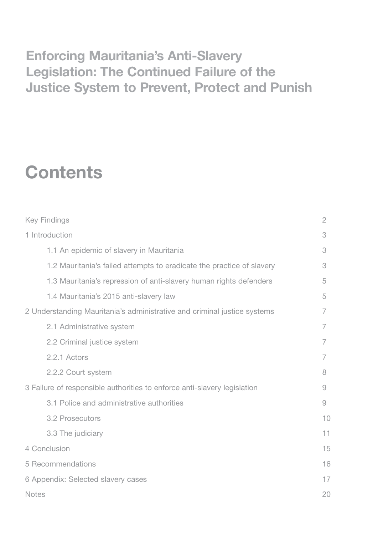# **Enforcing Mauritania's Anti-Slavery Legislation: The Continued Failure of the Justice System to Prevent, Protect and Punish**

# **Contents**

| <b>Key Findings</b>                                                      | $\overline{2}$ |
|--------------------------------------------------------------------------|----------------|
| 1 Introduction                                                           | 3              |
| 1.1 An epidemic of slavery in Mauritania                                 | 3              |
| 1.2 Mauritania's failed attempts to eradicate the practice of slavery    | 3              |
| 1.3 Mauritania's repression of anti-slavery human rights defenders       | 5              |
| 1.4 Mauritania's 2015 anti-slavery law                                   | 5              |
| 2 Understanding Mauritania's administrative and criminal justice systems | 7              |
| 2.1 Administrative system                                                | 7              |
| 2.2 Criminal justice system                                              | 7              |
| 2.2.1 Actors                                                             | 7              |
| 2.2.2 Court system                                                       | 8              |
| 3 Failure of responsible authorities to enforce anti-slavery legislation | 9              |
| 3.1 Police and administrative authorities                                | 9              |
| <b>3.2 Prosecutors</b>                                                   | 10             |
| 3.3 The judiciary                                                        | 11             |
| 4 Conclusion                                                             | 15             |
| 5 Recommendations                                                        | 16             |
| 6 Appendix: Selected slavery cases                                       | 17             |
| <b>Notes</b>                                                             | 20             |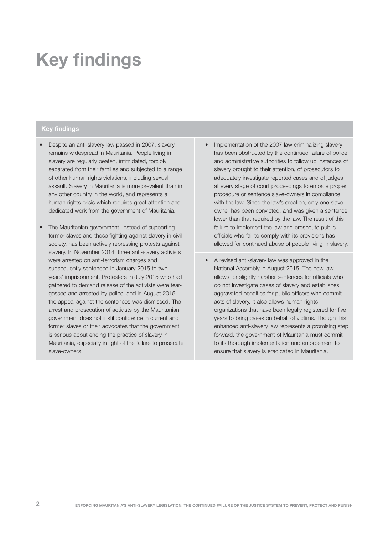# **Key findings**

## **Key findings**

- Despite an anti-slavery law passed in 2007, slavery remains widespread in Mauritania. People living in slavery are regularly beaten, intimidated, forcibly separated from their families and subjected to a range of other human rights violations, including sexual assault. Slavery in Mauritania is more prevalent than in any other country in the world, and represents a human rights crisis which requires great attention and dedicated work from the government of Mauritania.
- The Mauritanian government, instead of supporting former slaves and those fighting against slavery in civil society, has been actively repressing protests against slavery. In November 2014, three anti-slavery activists were arrested on anti-terrorism charges and subsequently sentenced in January 2015 to two years' imprisonment. Protesters in July 2015 who had gathered to demand release of the activists were teargassed and arrested by police, and in August 2015 the appeal against the sentences was dismissed. The arrest and prosecution of activists by the Mauritanian government does not instil confidence in current and former slaves or their advocates that the government is serious about ending the practice of slavery in Mauritania, especially in light of the failure to prosecute slave-owners.
- Implementation of the 2007 law criminalizing slavery has been obstructed by the continued failure of police and administrative authorities to follow up instances of slavery brought to their attention, of prosecutors to adequately investigate reported cases and of judges at every stage of court proceedings to enforce proper procedure or sentence slave-owners in compliance with the law. Since the law's creation, only one slaveowner has been convicted, and was given a sentence lower than that required by the law. The result of this failure to implement the law and prosecute public officials who fail to comply with its provisions has allowed for continued abuse of people living in slavery.
- A revised anti-slavery law was approved in the National Assembly in August 2015. The new law allows for slightly harsher sentences for officials who do not investigate cases of slavery and establishes aggravated penalties for public officers who commit acts of slavery. It also allows human rights organizations that have been legally registered for five years to bring cases on behalf of victims. Though this enhanced anti-slavery law represents a promising step forward, the government of Mauritania must commit to its thorough implementation and enforcement to ensure that slavery is eradicated in Mauritania.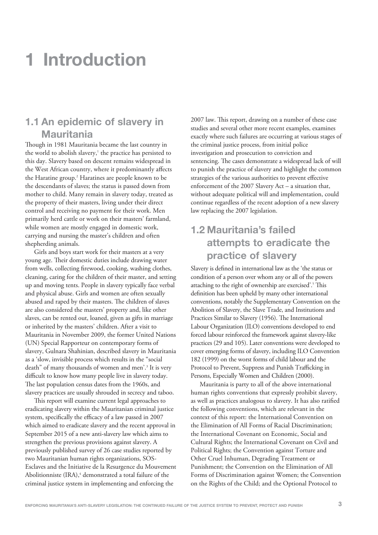# **1 Introduction**

# **1.1 An epidemic of slavery in Mauritania**

Though in 1981 Mauritania became the last country in the world to abolish slavery,<sup>1</sup> the practice has persisted to this day. Slavery based on descent remains widespread in the West African country, where it predominantly affects the Haratine group.<sup>2</sup> Haratines are people known to be the descendants of slaves; the status is passed down from mother to child. Many remain in slavery today, treated as the property of their masters, living under their direct control and receiving no payment for their work. Men primarily herd cattle or work on their masters' farmland, while women are mostly engaged in domestic work, carrying and nursing the master's children and often shepherding animals.

Girls and boys start work for their masters at a very young age. Their domestic duties include drawing water from wells, collecting firewood, cooking, washing clothes, cleaning, caring for the children of their master, and setting up and moving tents. People in slavery typically face verbal and physical abuse. Girls and women are often sexually abused and raped by their masters. The children of slaves are also considered the masters' property and, like other slaves, can be rented out, loaned, given as gifts in marriage or inherited by the masters' children. After a visit to Mauritania in November 2009, the former United Nations (UN) Special Rapporteur on contemporary forms of slavery, Gulnara Shahinian, described slavery in Mauritania as a 'slow, invisible process which results in the "social death" of many thousands of women and men'.3 It is very difficult to know how many people live in slavery today. The last population census dates from the 1960s, and slavery practices are usually shrouded in secrecy and taboo.

This report will examine current legal approaches to eradicating slavery within the Mauritanian criminal justice system, specifically the efficacy of a law passed in 2007 which aimed to eradicate slavery and the recent approval in September 2015 of a new anti-slavery law which aims to strengthen the previous provisions against slavery. A previously published survey of 26 case studies reported by two Mauritanian human rights organizations, SOS-Esclaves and the Initiative de la Resurgence du Mouvement Abolitionniste (IRA),<sup>4</sup> demonstrated a total failure of the criminal justice system in implementing and enforcing the

2007 law. This report, drawing on a number of these case studies and several other more recent examples, examines exactly where such failures are occurring at various stages of the criminal justice process, from initial police investigation and prosecution to conviction and sentencing. The cases demonstrate a widespread lack of will to punish the practice of slavery and highlight the common strategies of the various authorities to prevent effective enforcement of the 2007 Slavery Act – a situation that, without adequate political will and implementation, could continue regardless of the recent adoption of a new slavery law replacing the 2007 legislation.

# **1.2 Mauritania's failed attempts to eradicate the practice of slavery**

Slavery is defined in international law as the 'the status or condition of a person over whom any or all of the powers attaching to the right of ownership are exercised'.<sup>5</sup> This definition has been upheld by many other international conventions, notably the Supplementary Convention on the Abolition of Slavery, the Slave Trade, and Institutions and Practices Similar to Slavery (1956). The International Labour Organization (ILO) conventions developed to end forced labour reinforced the framework against slavery-like practices (29 and 105). Later conventions were developed to cover emerging forms of slavery, including ILO Convention 182 (1999) on the worst forms of child labour and the Protocol to Prevent, Suppress and Punish Trafficking in Persons, Especially Women and Children (2000).

Mauritania is party to all of the above international human rights conventions that expressly prohibit slavery, as well as practices analogous to slavery. It has also ratified the following conventions, which are relevant in the context of this report: the International Convention on the Elimination of All Forms of Racial Discrimination; the International Covenant on Economic, Social and Cultural Rights; the International Covenant on Civil and Political Rights; the Convention against Torture and Other Cruel Inhuman, Degrading Treatment or Punishment; the Convention on the Elimination of All Forms of Discrimination against Women; the Convention on the Rights of the Child; and the Optional Protocol to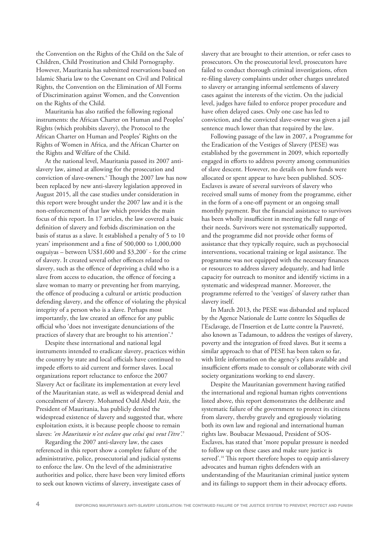the Convention on the Rights of the Child on the Sale of Children, Child Prostitution and Child Pornography. However, Mauritania has submitted reservations based on Islamic Sharia law to the Covenant on Civil and Political Rights, the Convention on the Elimination of All Forms of Discrimination against Women, and the Convention on the Rights of the Child.

Mauritania has also ratified the following regional instruments: the African Charter on Human and Peoples' Rights (which prohibits slavery), the Protocol to the African Charter on Human and Peoples' Rights on the Rights of Women in Africa, and the African Charter on the Rights and Welfare of the Child.

At the national level, Mauritania passed its 2007 antislavery law, aimed at allowing for the prosecution and conviction of slave-owners.6 Though the 2007 law has now been replaced by new anti-slavery legislation approved in August 2015, all the case studies under consideration in this report were brought under the 2007 law and it is the non-enforcement of that law which provides the main focus of this report. In 17 articles, the law covered a basic definition of slavery and forbids discrimination on the basis of status as a slave. It established a penalty of 5 to 10 years' imprisonment and a fine of 500,000 to 1,000,000 ouguiyas – between US\$1,600 and \$3,2007 - for the crime of slavery. It created several other offences related to slavery, such as the offence of depriving a child who is a slave from access to education, the offence of forcing a slave woman to marry or preventing her from marrying, the offence of producing a cultural or artistic production defending slavery, and the offence of violating the physical integrity of a person who is a slave. Perhaps most importantly, the law created an offence for any public official who 'does not investigate denunciations of the practices of slavery that are brought to his attention'.<sup>8</sup>

Despite these international and national legal instruments intended to eradicate slavery, practices within the country by state and local officials have continued to impede efforts to aid current and former slaves. Local organizations report reluctance to enforce the 2007 Slavery Act or facilitate its implementation at every level of the Mauritanian state, as well as widespread denial and concealment of slavery. Mohamed Ould Abdel Aziz, the President of Mauritania, has publicly denied the widespread existence of slavery and suggested that, where exploitation exists, it is because people choose to remain slaves: *'en Mauritanie n'est esclave que celui qui veut l'être'.*<sup>9</sup>

Regarding the 2007 anti-slavery law, the cases referenced in this report show a complete failure of the administrative, police, prosecutorial and judicial systems to enforce the law. On the level of the administrative authorities and police, there have been very limited efforts to seek out known victims of slavery, investigate cases of

slavery that are brought to their attention, or refer cases to prosecutors. On the prosecutorial level, prosecutors have failed to conduct thorough criminal investigations, often re-filing slavery complaints under other charges unrelated to slavery or arranging informal settlements of slavery cases against the interests of the victim. On the judicial level, judges have failed to enforce proper procedure and have often delayed cases. Only one case has led to conviction, and the convicted slave-owner was given a jail sentence much lower than that required by the law.

Following passage of the law in 2007, a Programme for the Eradication of the Vestiges of Slavery (PESE) was established by the government in 2009, which reportedly engaged in efforts to address poverty among communities of slave descent. However, no details on how funds were allocated or spent appear to have been published. SOS-Esclaves is aware of several survivors of slavery who received small sums of money from the programme, either in the form of a one-off payment or an ongoing small monthly payment. But the financial assistance to survivors has been wholly insufficient in meeting the full range of their needs. Survivors were not systematically supported, and the programme did not provide other forms of assistance that they typically require, such as psychosocial interventions, vocational training or legal assistance. The programme was not equipped with the necessary finances or resources to address slavery adequately, and had little capacity for outreach to monitor and identify victims in a systematic and widespread manner. Moreover, the programme referred to the 'vestiges' of slavery rather than slavery itself.

In March 2013, the PESE was disbanded and replaced by the Agence Nationale de Lutte contre les Séquelles de l'Esclavage, de l'Insertion et de Lutte contre la Pauvreté, also known as Tadamoun, to address the vestiges of slavery, poverty and the integration of freed slaves. But it seems a similar approach to that of PESE has been taken so far, with little information on the agency's plans available and insufficient efforts made to consult or collaborate with civil society organizations working to end slavery.

Despite the Mauritanian government having ratified the international and regional human rights conventions listed above, this report demonstrates the deliberate and systematic failure of the government to protect its citizens from slavery, thereby gravely and egregiously violating both its own law and regional and international human rights law. Boubacar Messaoud, President of SOS-Esclaves, has stated that 'more popular pressure is needed to follow up on these cases and make sure justice is served'.<sup>10</sup> This report therefore hopes to equip anti-slavery advocates and human rights defenders with an understanding of the Mauritanian criminal justice system and its failings to support them in their advocacy efforts.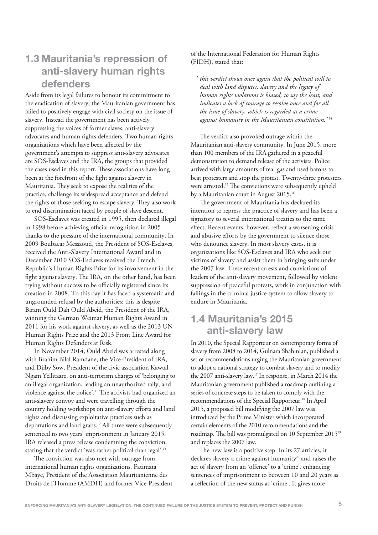# **1.3 Mauritania's repression of anti-slavery human rights defenders**

Aside from its legal failures to honour its commitment to the eradication of slavery, the Mauritanian government has failed to positively engage with civil society on the issue of slavery. Instead the government has been actively suppressing the voices of former slaves, anti-slavery advocates and human rights defenders. Two human rights organizations which have been affected by the government's attempts to suppress anti-slavery advocates are SOS-Esclaves and the IRA, the groups that provided the cases used in this report. These associations have long been at the forefront of the fight against slavery in Mauritania. They seek to expose the realities of the practice, challenge its widespread acceptance and defend the rights of those seeking to escape slavery. They also work to end discrimination faced by people of slave descent.

SOS-Esclaves was created in 1995, then declared illegal in 1998 before achieving official recognition in 2005 thanks to the pressure of the international community. In 2009 Boubacar Messaoud, the President of SOS-Esclaves, received the Anti-Slavery International Award and in December 2010 SOS-Esclaves received the French Republic's Human Rights Prize for its involvement in the fight against slavery. The IRA, on the other hand, has been trying without success to be officially registered since its creation in 2008. To this day it has faced a systematic and ungrounded refusal by the authorities: this is despite Biram Ould Dah Ould Abeid, the President of the IRA, winning the German Weimar Human Rights Award in 2011 for his work against slavery, as well as the 2013 UN Human Rights Prize and the 2013 Front Line Award for Human Rights Defenders at Risk.

In November 2014, Ould Abeid was arrested along with Brahim Bilal Ramdane, the Vice-President of IRA, and Djiby Sow, President of the civic association Kawtal Ngam Yellitaare, on anti-terrorism charges of 'belonging to an illegal organization, leading an unauthorized rally, and violence against the police'.<sup>11</sup> The activists had organized an anti-slavery convoy and were travelling through the country holding workshops on anti-slavery efforts and land rights and discussing exploitative practices such as deportations and land grabs.<sup>12</sup> All three were subsequently sentenced to two years' imprisonment in January 2015. IRA released a press release condemning the conviction, stating that the verdict 'was rather political than legal'.<sup>13</sup>

The conviction was also met with outrage from international human rights organizations. Fatimata Mbaye, President of the Association Mauritanienne des Droits de l'Homme (AMDH) and former Vice-President of the International Federation for Human Rights (FIDH), stated that:

*' this verdict shows once again that the political will to deal with land disputes, slavery and the legacy of human rights violations is biased, to say the least, and indicates a lack of courage to resolve once and for all the issue of slavery, which is regarded as a crime against humanity in the Mauritanian constitution.'* <sup>14</sup>

The verdict also provoked outrage within the Mauritanian anti-slavery community. In June 2015, more than 100 members of the IRA gathered in a peaceful demonstration to demand release of the activists. Police arrived with large amounts of tear gas and used batons to beat protesters and stop the protest. Twenty-three protesters were arrested.<sup>15</sup> The convictions were subsequently upheld by a Mauritanian court in August 2015.<sup>16</sup>

The government of Mauritania has declared its intention to repress the practice of slavery and has been a signatory to several international treaties to the same effect. Recent events, however, reflect a worsening crisis and abusive efforts by the government to silence those who denounce slavery. In most slavery cases, it is organizations like SOS-Esclaves and IRA who seek out victims of slavery and assist them in bringing suits under the 2007 law. These recent arrests and convictions of leaders of the anti-slavery movement, followed by violent suppression of peaceful protests, work in conjunction with failings in the criminal justice system to allow slavery to endure in Mauritania.

# **1.4 Mauritania's 2015 anti-slavery law**

In 2010, the Special Rapporteur on contemporary forms of slavery from 2008 to 2014, Gulnara Shahinian, published a set of recommendations urging the Mauritanian government to adopt a national strategy to combat slavery and to modify the 2007 anti-slavery law.17 In response, in March 2014 the Mauritanian government published a roadmap outlining a series of concrete steps to be taken to comply with the recommendations of the Special Rapporteur.18 In April 2015, a proposed bill modifying the 2007 law was introduced by the Prime Minister which incorporated certain elements of the 2010 recommendations and the roadmap. The bill was promulgated on 10 September 201519 and replaces the 2007 law.

The new law is a positive step. In its 27 articles, it declares slavery a crime against humanity<sup>20</sup> and raises the act of slavery from an 'offence' to a 'crime', enhancing sentences of imprisonment to between 10 and 20 years as a reflection of the new status as 'crime'. It gives more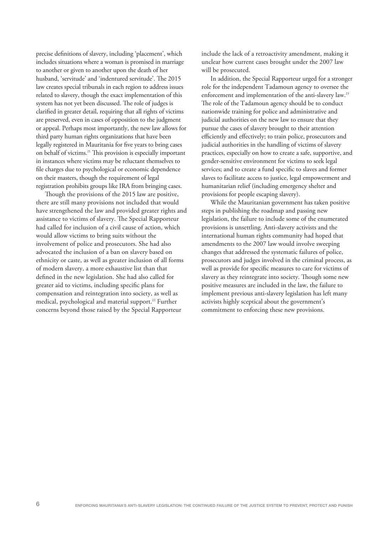precise definitions of slavery, including 'placement', which includes situations where a woman is promised in marriage to another or given to another upon the death of her husband, 'servitude' and 'indentured servitude'. The 2015 law creates special tribunals in each region to address issues related to slavery, though the exact implementation of this system has not yet been discussed. The role of judges is clarified in greater detail, requiring that all rights of victims are preserved, even in cases of opposition to the judgment or appeal. Perhaps most importantly, the new law allows for third party human rights organizations that have been legally registered in Mauritania for five years to bring cases on behalf of victims.21 This provision is especially important in instances where victims may be reluctant themselves to file charges due to psychological or economic dependence on their masters, though the requirement of legal registration prohibits groups like IRA from bringing cases.

Though the provisions of the 2015 law are positive, there are still many provisions not included that would have strengthened the law and provided greater rights and assistance to victims of slavery. The Special Rapporteur had called for inclusion of a civil cause of action, which would allow victims to bring suits without the involvement of police and prosecutors. She had also advocated the inclusion of a ban on slavery based on ethnicity or caste, as well as greater inclusion of all forms of modern slavery, a more exhaustive list than that defined in the new legislation. She had also called for greater aid to victims, including specific plans for compensation and reintegration into society, as well as medical, psychological and material support.<sup>22</sup> Further concerns beyond those raised by the Special Rapporteur

include the lack of a retroactivity amendment, making it unclear how current cases brought under the 2007 law will be prosecuted.

In addition, the Special Rapporteur urged for a stronger role for the independent Tadamoun agency to oversee the enforcement and implementation of the anti-slavery law.<sup>23</sup> The role of the Tadamoun agency should be to conduct nationwide training for police and administrative and judicial authorities on the new law to ensure that they pursue the cases of slavery brought to their attention efficiently and effectively; to train police, prosecutors and judicial authorities in the handling of victims of slavery practices, especially on how to create a safe, supportive, and gender-sensitive environment for victims to seek legal services; and to create a fund specific to slaves and former slaves to facilitate access to justice, legal empowerment and humanitarian relief (including emergency shelter and provisions for people escaping slavery).

While the Mauritanian government has taken positive steps in publishing the roadmap and passing new legislation, the failure to include some of the enumerated provisions is unsettling. Anti-slavery activists and the international human rights community had hoped that amendments to the 2007 law would involve sweeping changes that addressed the systematic failures of police, prosecutors and judges involved in the criminal process, as well as provide for specific measures to care for victims of slavery as they reintegrate into society. Though some new positive measures are included in the law, the failure to implement previous anti-slavery legislation has left many activists highly sceptical about the government's commitment to enforcing these new provisions.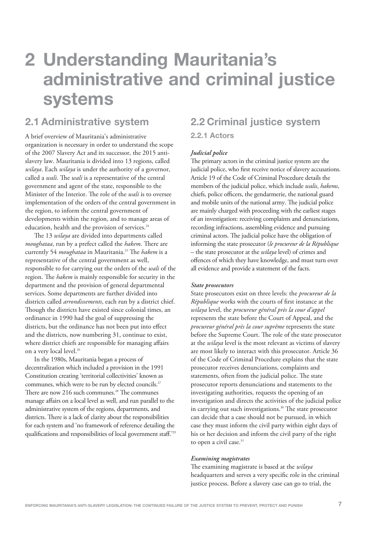# **2 Understanding Mauritania's administrative and criminal justice systems**

# **2.1 Administrative system**

A brief overview of Mauritania's administrative organization is necessary in order to understand the scope of the 2007 Slavery Act and its successor, the 2015 antislavery law. Mauritania is divided into 13 regions, called *wilaya*. Each *wilaya* is under the authority of a governor, called a *wali*. The *wali* is a representative of the central government and agent of the state, responsible to the Minister of the Interior. The role of the *wali* is to oversee implementation of the orders of the central government in the region, to inform the central government of developments within the region, and to manage areas of education, health and the provision of services.<sup>24</sup>

The 13 *wilaya* are divided into departments called *moughataa*, run by a prefect called the *hakem*. There are currently 54 *moughataa* in Mauritania.<sup>25</sup> The *hakem* is a representative of the central government as well, responsible to for carrying out the orders of the *wali* of the region. The *hakem* is mainly responsible for security in the department and the provision of general departmental services. Some departments are further divided into districts called *arrondissements*, each run by a district chief. Though the districts have existed since colonial times, an ordinance in 1990 had the goal of suppressing the districts, but the ordinance has not been put into effect and the districts, now numbering 31, continue to exist, where district chiefs are responsible for managing affairs on a very local level.<sup>26</sup>

In the 1980s, Mauritania began a process of decentralization which included a provision in the 1991 Constitution creating 'territorial collectivities' known as communes, which were to be run by elected councils.<sup>27</sup> There are now 216 such communes.<sup>28</sup> The communes manage affairs on a local level as well, and run parallel to the administrative system of the regions, departments, and districts. There is a lack of clarity about the responsibilities for each system and 'no framework of reference detailing the qualifications and responsibilities of local government staff.'<sup>29</sup>

# **2.2 Criminal justice system**

**2.2.1 Actors**

## *Judicial police*

The primary actors in the criminal justice system are the judicial police, who first receive notice of slavery accusations. Article 19 of the Code of Criminal Procedure details the members of the judicial police, which include *walis*, *hakems*, chiefs, police officers, the gendarmerie, the national guard and mobile units of the national army. The judicial police are mainly charged with proceeding with the earliest stages of an investigation: receiving complaints and denunciations, recording infractions, assembling evidence and pursuing criminal actors. The judicial police have the obligation of informing the state prosecutor (*le procureur de la République* – the state prosecutor at the *wilaya* level) of crimes and offences of which they have knowledge, and must turn over all evidence and provide a statement of the facts.

## *State prosecutors*

State prosecutors exist on three levels: the *procureur de la République* works with the courts of first instance at the *wilaya* level, the *procureur général près la cour d'appel* represents the state before the Court of Appeal, and the *procureur général près la cour suprême* represents the state before the Supreme Court. The role of the state prosecutor at the *wilaya* level is the most relevant as victims of slavery are most likely to interact with this prosecutor. Article 36 of the Code of Criminal Procedure explains that the state prosecutor receives denunciations, complaints and statements, often from the judicial police. The state prosecutor reports denunciations and statements to the investigating authorities, requests the opening of an investigation and directs the activities of the judicial police in carrying out such investigations.<sup>30</sup> The state prosecutor can decide that a case should not be pursued, in which case they must inform the civil party within eight days of his or her decision and inform the civil party of the right to open a civil case.<sup>31</sup>

## *Examining magistrates*

The examining magistrate is based at the *wilaya* headquarters and serves a very specific role in the criminal justice process. Before a slavery case can go to trial, the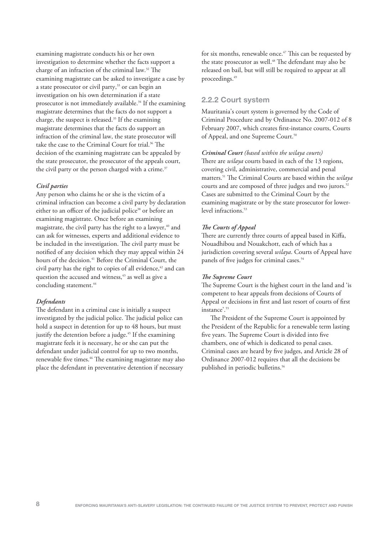examining magistrate conducts his or her own investigation to determine whether the facts support a charge of an infraction of the criminal law.32 The examining magistrate can be asked to investigate a case by a state prosecutor or civil party,<sup>33</sup> or can begin an investigation on his own determination if a state prosecutor is not immediately available.<sup>34</sup> If the examining magistrate determines that the facts do not support a charge, the suspect is released.35 If the examining magistrate determines that the facts do support an infraction of the criminal law, the state prosecutor will take the case to the Criminal Court for trial.36 The decision of the examining magistrate can be appealed by the state prosecutor, the prosecutor of the appeals court, the civil party or the person charged with a crime.<sup>37</sup>

## *Civil parties*

Any person who claims he or she is the victim of a criminal infraction can become a civil party by declaration either to an officer of the judicial police<sup>38</sup> or before an examining magistrate. Once before an examining magistrate, the civil party has the right to a lawyer, $40$  and can ask for witnesses, experts and additional evidence to be included in the investigation. The civil party must be notified of any decision which they may appeal within 24 hours of the decision.<sup>41</sup> Before the Criminal Court, the civil party has the right to copies of all evidence,<sup>42</sup> and can question the accused and witness,<sup>43</sup> as well as give a concluding statement.<sup>44</sup>

## *Defendants*

The defendant in a criminal case is initially a suspect investigated by the judicial police. The judicial police can hold a suspect in detention for up to 48 hours, but must justify the detention before a judge.<sup>45</sup> If the examining magistrate feels it is necessary, he or she can put the defendant under judicial control for up to two months, renewable five times.<sup>46</sup> The examining magistrate may also place the defendant in preventative detention if necessary

for six months, renewable once.<sup>47</sup> This can be requested by the state prosecutor as well.<sup>48</sup> The defendant may also be released on bail, but will still be required to appear at all proceedings.<sup>49</sup>

## **2.2.2 Court system**

Mauritania's court system is governed by the Code of Criminal Procedure and by Ordinance No. 2007-012 of 8 February 2007, which creates first-instance courts, Courts of Appeal, and one Supreme Court.<sup>50</sup>

## *Criminal Court (based within the wilaya courts)*

There are *wilaya* courts based in each of the 13 regions, covering civil, administrative, commercial and penal matters.51 The Criminal Courts are based within the *wilaya* courts and are composed of three judges and two jurors.<sup>52</sup> Cases are submitted to the Criminal Court by the examining magistrate or by the state prosecutor for lowerlevel infractions.<sup>53</sup>

## *The Courts of Appeal*

There are currently three courts of appeal based in Kiffa, Nouadhibou and Nouakchott, each of which has a jurisdiction covering several *wilaya*. Courts of Appeal have panels of five judges for criminal cases.<sup>54</sup>

## *The Supreme Court*

The Supreme Court is the highest court in the land and 'is competent to hear appeals from decisions of Courts of Appeal or decisions in first and last resort of courts of first instance'.<sup>55</sup>

The President of the Supreme Court is appointed by the President of the Republic for a renewable term lasting five years. The Supreme Court is divided into five chambers, one of which is dedicated to penal cases. Criminal cases are heard by five judges, and Article 28 of Ordinance 2007-012 requires that all the decisions be published in periodic bulletins.<sup>56</sup>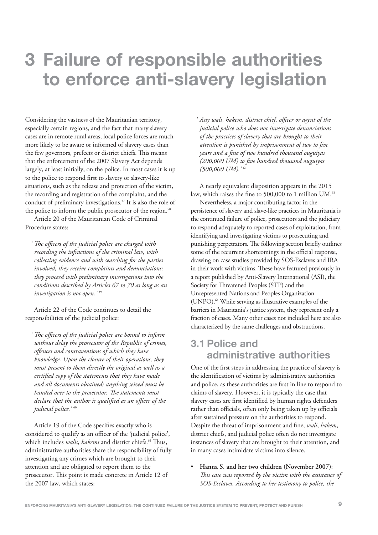# **3 Failure of responsible authorities to enforce anti-slavery legislation**

Considering the vastness of the Mauritanian territory, especially certain regions, and the fact that many slavery cases are in remote rural areas, local police forces are much more likely to be aware or informed of slavery cases than the few governors, prefects or district chiefs. This means that the enforcement of the 2007 Slavery Act depends largely, at least initially, on the police. In most cases it is up to the police to respond first to slavery or slavery-like situations, such as the release and protection of the victim, the recording and registration of the complaint, and the conduct of preliminary investigations.<sup>57</sup> It is also the role of the police to inform the public prosecutor of the region.<sup>58</sup>

Article 20 of the Mauritanian Code of Criminal Procedure states:

*' The officers of the judicial police are charged with recording the infractions of the criminal law, with collecting evidence and with searching for the parties involved; they receive complaints and denunciations; they proceed with preliminary investigations into the conditions described by Articles 67 to 70 as long as an investigation is not open.'* <sup>59</sup>

Article 22 of the Code continues to detail the responsibilities of the judicial police:

*' The officers of the judicial police are bound to inform without delay the prosecutor of the Republic of crimes, offences and contraventions of which they have knowledge. Upon the closure of their operations, they must present to them directly the original as well as a certified copy of the statements that they have made and all documents obtained; anything seized must be handed over to the prosecutor. The statements must declare that the author is qualified as an officer of the judicial police.'* <sup>60</sup>

Article 19 of the Code specifies exactly who is considered to qualify as an officer of the 'judicial police', which includes *walis, hakems* and district chiefs.<sup>61</sup> Thus, administrative authorities share the responsibility of fully investigating any crimes which are brought to their attention and are obligated to report them to the prosecutor. This point is made concrete in Article 12 of the 2007 law, which states:

*' Any wali, hakem, district chief, officer or agent of the judicial police who does not investigate denunciations of the practices of slavery that are brought to their attention is punished by imprisonment of two to five years and a fine of two hundred thousand ouguiyas (200,000 UM) to five hundred thousand ouguiyas (500,000 UM).'* <sup>62</sup>

A nearly equivalent disposition appears in the 2015 law, which raises the fine to 500,000 to 1 million UM.<sup>63</sup>

Nevertheless, a major contributing factor in the persistence of slavery and slave-like practices in Mauritania is the continued failure of police, prosecutors and the judiciary to respond adequately to reported cases of exploitation, from identifying and investigating victims to prosecuting and punishing perpetrators. The following section briefly outlines some of the recurrent shortcomings in the official response, drawing on case studies provided by SOS-Esclaves and IRA in their work with victims. These have featured previously in a report published by Anti-Slavery International (ASI), the Society for Threatened Peoples (STP) and the Unrepresented Nations and Peoples Organization (UNPO).64 While serving as illustrative examples of the barriers in Mauritania's justice system, they represent only a fraction of cases. Many other cases not included here are also characterized by the same challenges and obstructions.

## **3.1 Police and administrative authorities**

One of the first steps in addressing the practice of slavery is the identification of victims by administrative authorities and police, as these authorities are first in line to respond to claims of slavery. However, it is typically the case that slavery cases are first identified by human rights defenders rather than officials, often only being taken up by officials after sustained pressure on the authorities to respond. Despite the threat of imprisonment and fine, *wali*, *hakem*, district chiefs, and judicial police often do not investigate instances of slavery that are brought to their attention, and in many cases intimidate victims into silence.

• **Hanna S. and her two children (November 2007)**: *This case was reported by the victim with the assistance of SOS-Esclaves. According to her testimony to police, the*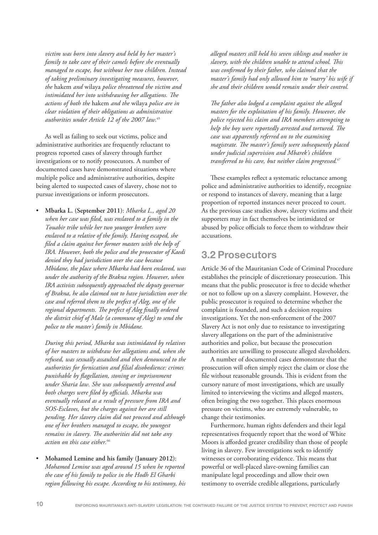*victim was born into slavery and held by her master's family to take care of their camels before she eventually managed to escape, but without her two children. Instead of taking preliminary investigating measures, however, the* hakem *and* wilaya *police threatened the victim and intimidated her into withdrawing her allegations. The actions of both the* hakem *and the* wilaya *police are in clear violation of their obligations as administrative authorities under Article 12 of the 2007 law.*<sup>65</sup>

As well as failing to seek out victims, police and administrative authorities are frequently reluctant to progress reported cases of slavery through further investigations or to notify prosecutors. A number of documented cases have demonstrated situations where multiple police and administrative authorities, despite being alerted to suspected cases of slavery, chose not to pursue investigations or inform prosecutors.

• **Mbarka L. (September 2011)**: *Mbarka L., aged 20 when her case was filed, was enslaved to a family in the Touabir tribe while her two younger brothers were enslaved to a relative of the family. Having escaped, she filed a claim against her former masters with the help of IRA. However, both the police and the prosecutor of Kaedi denied they had jurisdiction over the case because Mbidane, the place where Mbarka had been enslaved, was under the authority of the Brakna region. However, when IRA activists subsequently approached the deputy governor of Brakna, he also claimed not to have jurisdiction over the case and referred them to the prefect of Aleg, one of the regional departments. The prefect of Aleg finally ordered the district chief of Male (a commune of Aleg) to send the police to the master's family in Mbidane.* 

*During this period, Mbarka was intimidated by relatives of her masters to withdraw her allegations and, when she refused, was sexually assaulted and then denounced to the authorities for fornication and filial disobedience: crimes punishable by flagellation, stoning or imprisonment under Sharia law. She was subsequently arrested and both charges were filed by officials. Mbarka was eventually released as a result of pressure from IRA and SOS-Esclaves, but the charges against her are still pending. Her slavery claim did not proceed and although one of her brothers managed to escape, the youngest remains in slavery. The authorities did not take any action on this case either.*<sup>66</sup>

• **Mohamed Lemine and his family (January 2012)**: *Mohamed Lemine was aged around 15 when he reported the case of his family to police in the Hodh El Gharbi region following his escape. According to his testimony, his* *alleged masters still held his seven siblings and mother in slavery, with the children unable to attend school. This was confirmed by their father, who claimed that the master's family had only allowed him to 'marry' his wife if she and their children would remain under their control.* 

*The father also lodged a complaint against the alleged masters for the exploitation of his family. However, the police rejected his claim and IRA members attempting to help the boy were reportedly arrested and tortured. The case was apparently referred on to the examining magistrate. The master's family were subsequently placed under judicial supervision and Mbarek's children transferred to his care, but neither claim progressed.*<sup>67</sup>

These examples reflect a systematic reluctance among police and administrative authorities to identify, recognize or respond to instances of slavery, meaning that a large proportion of reported instances never proceed to court. As the previous case studies show, slavery victims and their supporters may in fact themselves be intimidated or abused by police officials to force them to withdraw their accusations.

## **3.2 Prosecutors**

Article 36 of the Mauritanian Code of Criminal Procedure establishes the principle of discretionary prosecution. This means that the public prosecutor is free to decide whether or not to follow up on a slavery complaint. However, the public prosecutor is required to determine whether the complaint is founded, and such a decision requires investigations. Yet the non-enforcement of the 2007 Slavery Act is not only due to resistance to investigating slavery allegations on the part of the administrative authorities and police, but because the prosecution authorities are unwilling to prosecute alleged slaveholders.

A number of documented cases demonstrate that the prosecution will often simply reject the claim or close the file without reasonable grounds. This is evident from the cursory nature of most investigations, which are usually limited to interviewing the victims and alleged masters, often bringing the two together. This places enormous pressure on victims, who are extremely vulnerable, to change their testimonies.

Furthermore, human rights defenders and their legal representatives frequently report that the word of White Moors is afforded greater credibility than those of people living in slavery. Few investigations seek to identify witnesses or corroborating evidence. This means that powerful or well-placed slave-owning families can manipulate legal proceedings and allow their own testimony to override credible allegations, particularly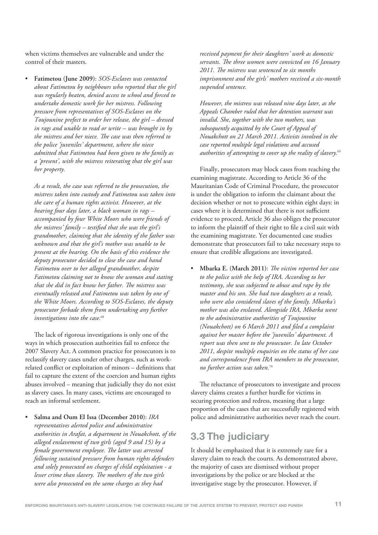when victims themselves are vulnerable and under the control of their masters.

• **Fatimetou (June 2009)**: *SOS-Esclaves was contacted about Fatimetou by neighbours who reported that the girl was regularly beaten, denied access to school and forced to undertake domestic work for her mistress. Following pressure from representatives of SOS-Esclaves on the Toujounine prefect to order her release, the girl – dressed in rags and unable to read or write – was brought in by the mistress and her niece. The case was then referred to the police 'juveniles' department, where the niece admitted that Fatimetou had been given to the family as a 'present', with the mistress reiterating that the girl was her property.* 

*As a result, the case was referred to the prosecution, the mistress taken into custody and Fatimetou was taken into the care of a human rights activist. However, at the hearing four days later, a black woman in rags – accompanied by four White Moors who were friends of the mistress' family – testified that she was the girl's grandmother, claiming that the identity of the father was unknown and that the girl's mother was unable to be present at the hearing. On the basis of this evidence the deputy prosecutor decided to close the case and hand Fatimetou over to her alleged grandmother, despite Fatimetou claiming not to know the woman and stating that she did in fact know her father. The mistress was eventually released and Fatimetou was taken by one of the White Moors. According to SOS-Esclaves, the deputy prosecutor forbade them from undertaking any further investigations into the case.*<sup>68</sup>

The lack of rigorous investigations is only one of the ways in which prosecution authorities fail to enforce the 2007 Slavery Act. A common practice for prosecutors is to reclassify slavery cases under other charges, such as workrelated conflict or exploitation of minors – definitions that fail to capture the extent of the coercion and human rights abuses involved – meaning that judicially they do not exist as slavery cases. In many cases, victims are encouraged to reach an informal settlement.

• **Salma and Oum El Issa (December 2010)**: *IRA representatives alerted police and administrative authorities in Arafat, a department in Nouakchott, of the alleged enslavement of two girls (aged 9 and 15) by a female government employee. The latter was arrested following sustained pressure from human rights defenders and solely prosecuted on charges of child exploitation - a lesser crime than slavery. The mothers of the two girls were also prosecuted on the same charges as they had*

*received payment for their daughters' work as domestic servants. The three women were convicted on 16 January 2011. The mistress was sentenced to six months imprisonment and the girls' mothers received a six-month suspended sentence.* 

*However, the mistress was released nine days later, as the Appeals Chamber ruled that her detention warrant was invalid. She, together with the two mothers, was subsequently acquitted by the Court of Appeal of Nouakchott on 21 March 2011. Activists involved in the case reported multiple legal violations and accused authorities of attempting to cover up the reality of slavery.*<sup>69</sup>

Finally, prosecutors may block cases from reaching the examining magistrate. According to Article 36 of the Mauritanian Code of Criminal Procedure, the prosecutor is under the obligation to inform the claimant about the decision whether or not to prosecute within eight days: in cases where it is determined that there is not sufficient evidence to proceed, Article 36 also obliges the prosecutor to inform the plaintiff of their right to file a civil suit with the examining magistrate. Yet documented case studies demonstrate that prosecutors fail to take necessary steps to ensure that credible allegations are investigated.

• **Mbarka E. (March 2011)**: *The victim reported her case to the police with the help of IRA. According to her testimony, she was subjected to abuse and rape by the master and his son. She had two daughters as a result, who were also considered slaves of the family. Mbarka's mother was also enslaved. Alongside IRA, Mbarka went to the administrative authorities of Toujounine (Nouakchott) on 6 March 2011 and filed a complaint against her master before the 'juveniles' department. A report was then sent to the prosecutor. In late October 2011, despite multiple enquiries on the status of her case and correspondence from IRA members to the prosecutor, no further action was taken.*<sup>70</sup>

The reluctance of prosecutors to investigate and process slavery claims creates a further hurdle for victims in securing protection and redress, meaning that a large proportion of the cases that are successfully registered with police and administrative authorities never reach the court.

# **3.3 The judiciary**

It should be emphasized that it is extremely rare for a slavery claim to reach the courts. As demonstrated above, the majority of cases are dismissed without proper investigations by the police or are blocked at the investigative stage by the prosecutor. However, if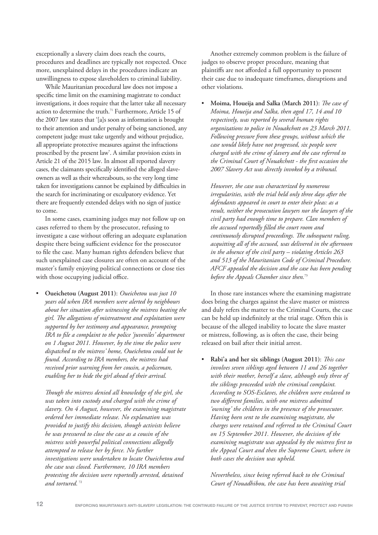exceptionally a slavery claim does reach the courts, procedures and deadlines are typically not respected. Once more, unexplained delays in the procedures indicate an unwillingness to expose slaveholders to criminal liability.

While Mauritanian procedural law does not impose a specific time limit on the examining magistrate to conduct investigations, it does require that the latter take all necessary action to determine the truth.<sup>71</sup> Furthermore, Article 15 of the 2007 law states that '[a]s soon as information is brought to their attention and under penalty of being sanctioned, any competent judge must take urgently and without prejudice, all appropriate protective measures against the infractions proscribed by the present law'. A similar provision exists in Article 21 of the 2015 law. In almost all reported slavery cases, the claimants specifically identified the alleged slaveowners as well as their whereabouts, so the very long time taken for investigations cannot be explained by difficulties in the search for incriminating or exculpatory evidence. Yet there are frequently extended delays with no sign of justice to come.

In some cases, examining judges may not follow up on cases referred to them by the prosecutor, refusing to investigate a case without offering an adequate explanation despite there being sufficient evidence for the prosecutor to file the case. Many human rights defenders believe that such unexplained case closures are often on account of the master's family enjoying political connections or close ties with those occupying judicial office.

• **Oueichetou (August 2011)**: *Oueichetou was just 10 years old when IRA members were alerted by neighbours about her situation after witnessing the mistress beating the girl. The allegations of mistreatment and exploitation were supported by her testimony and appearance, prompting IRA to file a complaint to the police 'juveniles' department on 1 August 2011. However, by the time the police were dispatched to the mistress' home, Oueichetou could not be found. According to IRA members, the mistress had received prior warning from her cousin, a policeman, enabling her to hide the girl ahead of their arrival.* 

*Though the mistress denied all knowledge of the girl, she was taken into custody and charged with the crime of slavery. On 4 August, however, the examining magistrate ordered her immediate release. No explanation was provided to justify this decision, though activists believe he was pressured to close the case as a cousin of the mistress with powerful political connections allegedly attempted to release her by force. No further investigations were undertaken to locate Oueichetou and the case was closed. Furthermore, 10 IRA members protesting the decision were reportedly arrested, detained* and tortured.<sup>72</sup>

Another extremely common problem is the failure of judges to observe proper procedure, meaning that plaintiffs are not afforded a full opportunity to present their case due to inadequate timeframes, disruptions and other violations.

• **Moima, Houeija and Salka (March 2011)**: *The case of Moima, Houeija and Salka, then aged 17, 14 and 10 respectively, was reported by several human rights organizations to police in Nouakchott on 23 March 2011. Following pressure from these groups, without which the case would likely have not progressed, six people were charged with the crime of slavery and the case referred to the Criminal Court of Nouakchott - the first occasion the 2007 Slavery Act was directly invoked by a tribunal.* 

*However, the case was characterized by numerous irregularities, with the trial held only three days after the defendants appeared in court to enter their pleas: as a result, neither the prosecution lawyers nor the lawyers of the civil party had enough time to prepare. Clan members of the accused reportedly filled the court room and continuously disrupted proceedings. The subsequent ruling, acquitting all of the accused, was delivered in the afternoon in the absence of the civil party – violating Articles 263 and 513 of the Mauritanian Code of Criminal Procedure. AFCF appealed the decision and the case has been pending before the Appeals Chamber since then.*<sup>73</sup>

In those rare instances where the examining magistrate does bring the charges against the slave master or mistress and duly refers the matter to the Criminal Courts, the case can be held up indefinitely at the trial stage. Often this is because of the alleged inability to locate the slave master or mistress, following, as is often the case, their being released on bail after their initial arrest.

• **Rabi'a and her six siblings (August 2011)**: *This case involves seven siblings aged between 11 and 26 together with their mother, herself a slave, although only three of the siblings proceeded with the criminal complaint. According to SOS-Esclaves, the children were enslaved to two different families, with one mistress admitted 'owning' the children in the presence of the prosecutor. Having been sent to the examining magistrate, the charges were retained and referred to the Criminal Court on 15 September 2011. However, the decision of the examining magistrate was appealed by the mistress first to the Appeal Court and then the Supreme Court, where in both cases the decision was upheld.* 

*Nevertheless, since being referred back to the Criminal Court of Nouadhibou, the case has been awaiting trial*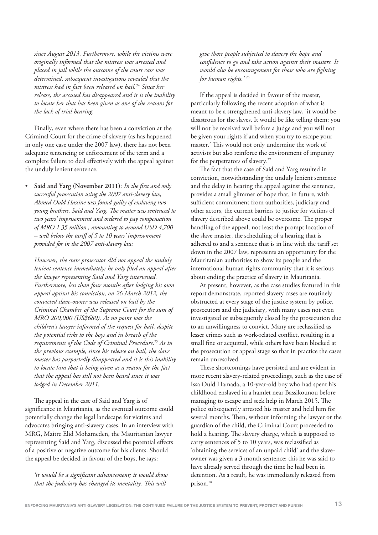*since August 2013. Furthermore, while the victims were originally informed that the mistress was arrested and placed in jail while the outcome of the court case was determined, subsequent investigations revealed that the mistress had in fact been released on bail.* <sup>74</sup> *Since her release, the accused has disappeared and it is the inability to locate her that has been given as one of the reasons for the lack of trial hearing.*

Finally, even where there has been a conviction at the Criminal Court for the crime of slavery (as has happened in only one case under the 2007 law), there has not been adequate sentencing or enforcement of the term and a complete failure to deal effectively with the appeal against the unduly lenient sentence.

• **Said and Yarg (November 2011)**: *In the first and only successful prosecution using the 2007 anti-slavery law, Ahmed Ould Hassine was found guilty of enslaving two young brothers, Said and Yarg. The master was sentenced to two years' imprisonment and ordered to pay compensation of MRO 1.35 million , amounting to around USD 4,700 – well below the tariff of 5 to 10 years' imprisonment provided for in the 2007 anti-slavery law.*

*However, the state prosecutor did not appeal the unduly lenient sentence immediately; he only filed an appeal after the lawyer representing Said and Yarg intervened. Furthermore, less than four months after lodging his own appeal against his conviction, on 26 March 2012, the convicted slave-owner was released on bail by the Criminal Chamber of the Supreme Court for the sum of MRO 200,000 (US\$680). At no point was the children's lawyer informed of the request for bail, despite the potential risks to the boys and in breach of the requirements of the Code of Criminal Procedure.*<sup>75</sup> *As in the previous example, since his release on bail, the slave master has purportedly disappeared and it is this inability to locate him that is being given as a reason for the fact that the appeal has still not been heard since it was lodged in December 2011.*

The appeal in the case of Said and Yarg is of significance in Mauritania, as the eventual outcome could potentially change the legal landscape for victims and advocates bringing anti-slavery cases. In an interview with MRG, Maitre Elid Mohameden, the Mauritanian lawyer representing Said and Yarg, discussed the potential effects of a positive or negative outcome for his clients. Should the appeal be decided in favour of the boys, he says:

*'it would be a significant advancement; it would show that the judiciary has changed its mentality. This will*

*give those people subjected to slavery the hope and confidence to go and take action against their masters. It would also be encouragement for those who are fighting for human rights.'* <sup>76</sup>

If the appeal is decided in favour of the master, particularly following the recent adoption of what is meant to be a strengthened anti-slavery law, 'it would be disastrous for the slaves. It would be like telling them: you will not be received well before a judge and you will not be given your rights if and when you try to escape your master.' This would not only undermine the work of activists but also reinforce the environment of impunity for the perpetrators of slavery.<sup>77</sup>

The fact that the case of Said and Yarg resulted in conviction, notwithstanding the unduly lenient sentence and the delay in hearing the appeal against the sentence, provides a small glimmer of hope that, in future, with sufficient commitment from authorities, judiciary and other actors, the current barriers to justice for victims of slavery described above could be overcome. The proper handling of the appeal, not least the prompt location of the slave master, the scheduling of a hearing that is adhered to and a sentence that is in line with the tariff set down in the 2007 law, represents an opportunity for the Mauritanian authorities to show its people and the international human rights community that it is serious about ending the practice of slavery in Mauritania.

At present, however, as the case studies featured in this report demonstrate, reported slavery cases are routinely obstructed at every stage of the justice system by police, prosecutors and the judiciary, with many cases not even investigated or subsequently closed by the prosecution due to an unwillingness to convict. Many are reclassified as lesser crimes such as work-related conflict, resulting in a small fine or acquittal, while others have been blocked at the prosecution or appeal stage so that in practice the cases remain unresolved.

These shortcomings have persisted and are evident in more recent slavery-related proceedings, such as the case of Issa Ould Hamada, a 10-year-old boy who had spent his childhood enslaved in a hamlet near Bassikounou before managing to escape and seek help in March 2015. The police subsequently arrested his master and held him for several months. Then, without informing the lawyer or the guardian of the child, the Criminal Court proceeded to hold a hearing. The slavery charge, which is supposed to carry sentences of 5 to 10 years, was reclassified as 'obtaining the services of an unpaid child' and the slaveowner was given a 3 month sentence: this he was said to have already served through the time he had been in detention. As a result, he was immediately released from prison.78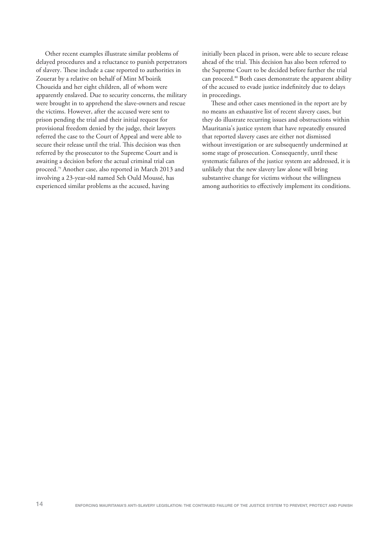Other recent examples illustrate similar problems of delayed procedures and a reluctance to punish perpetrators of slavery. These include a case reported to authorities in Zouerat by a relative on behalf of Mint M'boirik Choueida and her eight children, all of whom were apparently enslaved. Due to security concerns, the military were brought in to apprehend the slave-owners and rescue the victims. However, after the accused were sent to prison pending the trial and their initial request for provisional freedom denied by the judge, their lawyers referred the case to the Court of Appeal and were able to secure their release until the trial. This decision was then referred by the prosecutor to the Supreme Court and is awaiting a decision before the actual criminal trial can proceed.79 Another case, also reported in March 2013 and involving a 23-year-old named Seh Ould Moussé, has experienced similar problems as the accused, having

initially been placed in prison, were able to secure release ahead of the trial. This decision has also been referred to the Supreme Court to be decided before further the trial can proceed.<sup>80</sup> Both cases demonstrate the apparent ability of the accused to evade justice indefinitely due to delays in proceedings.

These and other cases mentioned in the report are by no means an exhaustive list of recent slavery cases, but they do illustrate recurring issues and obstructions within Mauritania's justice system that have repeatedly ensured that reported slavery cases are either not dismissed without investigation or are subsequently undermined at some stage of prosecution. Consequently, until these systematic failures of the justice system are addressed, it is unlikely that the new slavery law alone will bring substantive change for victims without the willingness among authorities to effectively implement its conditions.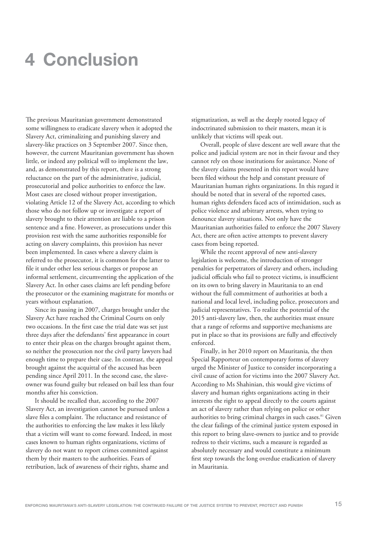# **4 Conclusion**

The previous Mauritanian government demonstrated some willingness to eradicate slavery when it adopted the Slavery Act, criminalizing and punishing slavery and slavery-like practices on 3 September 2007. Since then, however, the current Mauritanian government has shown little, or indeed any political will to implement the law, and, as demonstrated by this report, there is a strong reluctance on the part of the administrative, judicial, prosecutorial and police authorities to enforce the law. Most cases are closed without proper investigation, violating Article 12 of the Slavery Act, according to which those who do not follow up or investigate a report of slavery brought to their attention are liable to a prison sentence and a fine. However, as prosecutions under this provision rest with the same authorities responsible for acting on slavery complaints, this provision has never been implemented. In cases where a slavery claim is referred to the prosecutor, it is common for the latter to file it under other less serious charges or propose an informal settlement, circumventing the application of the Slavery Act. In other cases claims are left pending before the prosecutor or the examining magistrate for months or years without explanation.

Since its passing in 2007, charges brought under the Slavery Act have reached the Criminal Courts on only two occasions. In the first case the trial date was set just three days after the defendants' first appearance in court to enter their pleas on the charges brought against them, so neither the prosecution nor the civil party lawyers had enough time to prepare their case. In contrast, the appeal brought against the acquittal of the accused has been pending since April 2011. In the second case, the slaveowner was found guilty but released on bail less than four months after his conviction.

It should be recalled that, according to the 2007 Slavery Act, an investigation cannot be pursued unless a slave files a complaint. The reluctance and resistance of the authorities to enforcing the law makes it less likely that a victim will want to come forward. Indeed, in most cases known to human rights organizations, victims of slavery do not want to report crimes committed against them by their masters to the authorities. Fears of retribution, lack of awareness of their rights, shame and

stigmatization, as well as the deeply rooted legacy of indoctrinated submission to their masters, mean it is unlikely that victims will speak out.

Overall, people of slave descent are well aware that the police and judicial system are not in their favour and they cannot rely on those institutions for assistance. None of the slavery claims presented in this report would have been filed without the help and constant pressure of Mauritanian human rights organizations. In this regard it should be noted that in several of the reported cases, human rights defenders faced acts of intimidation, such as police violence and arbitrary arrests, when trying to denounce slavery situations. Not only have the Mauritanian authorities failed to enforce the 2007 Slavery Act, there are often active attempts to prevent slavery cases from being reported.

While the recent approval of new anti-slavery legislation is welcome, the introduction of stronger penalties for perpetrators of slavery and others, including judicial officials who fail to protect victims, is insufficient on its own to bring slavery in Mauritania to an end without the full commitment of authorities at both a national and local level, including police, prosecutors and judicial representatives. To realize the potential of the 2015 anti-slavery law, then, the authorities must ensure that a range of reforms and supportive mechanisms are put in place so that its provisions are fully and effectively enforced.

Finally, in her 2010 report on Mauritania, the then Special Rapporteur on contemporary forms of slavery urged the Minister of Justice to consider incorporating a civil cause of action for victims into the 2007 Slavery Act. According to Ms Shahinian, this would give victims of slavery and human rights organizations acting in their interests the right to appeal directly to the courts against an act of slavery rather than relying on police or other authorities to bring criminal charges in such cases.<sup>81</sup> Given the clear failings of the criminal justice system exposed in this report to bring slave-owners to justice and to provide redress to their victims, such a measure is regarded as absolutely necessary and would constitute a minimum first step towards the long overdue eradication of slavery in Mauritania.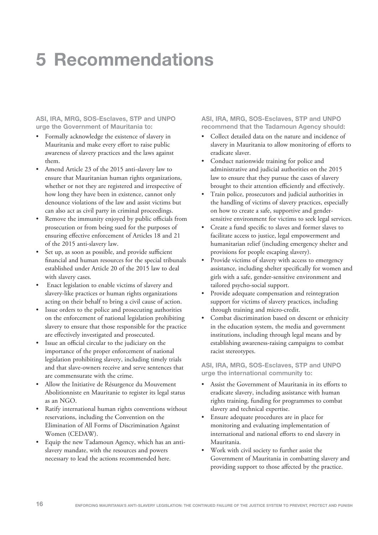# **5 Recommendations**

**ASI, IRA, MRG, SOS-Esclaves, STP and UNPO urge the Government of Mauritania to:**

- Formally acknowledge the existence of slavery in Mauritania and make every effort to raise public awareness of slavery practices and the laws against them.
- Amend Article 23 of the 2015 anti-slavery law to ensure that Mauritanian human rights organizations, whether or not they are registered and irrespective of how long they have been in existence, cannot only denounce violations of the law and assist victims but can also act as civil party in criminal proceedings.
- Remove the immunity enjoyed by public officials from prosecution or from being sued for the purposes of ensuring effective enforcement of Articles 18 and 21 of the 2015 anti-slavery law.
- Set up, as soon as possible, and provide sufficient financial and human resources for the special tribunals established under Article 20 of the 2015 law to deal with slavery cases.
- Enact legislation to enable victims of slavery and slavery-like practices or human rights organizations acting on their behalf to bring a civil cause of action.
- Issue orders to the police and prosecuting authorities on the enforcement of national legislation prohibiting slavery to ensure that those responsible for the practice are effectively investigated and prosecuted.
- Issue an official circular to the judiciary on the importance of the proper enforcement of national legislation prohibiting slavery, including timely trials and that slave-owners receive and serve sentences that are commensurate with the crime.
- Allow the Initiative de Résurgence du Mouvement Abolitionniste en Mauritanie to register its legal status as an NGO.
- Ratify international human rights conventions without reservations, including the Convention on the Elimination of All Forms of Discrimination Against Women (CEDAW).
- Equip the new Tadamoun Agency, which has an antislavery mandate, with the resources and powers necessary to lead the actions recommended here.

**ASI, IRA, MRG, SOS-Esclaves, STP and UNPO recommend that the Tadamoun Agency should:**

- Collect detailed data on the nature and incidence of slavery in Mauritania to allow monitoring of efforts to eradicate slaver.
- Conduct nationwide training for police and administrative and judicial authorities on the 2015 law to ensure that they pursue the cases of slavery brought to their attention efficiently and effectively.
- Train police, prosecutors and judicial authorities in the handling of victims of slavery practices, especially on how to create a safe, supportive and gendersensitive environment for victims to seek legal services.
- Create a fund specific to slaves and former slaves to facilitate access to justice, legal empowerment and humanitarian relief (including emergency shelter and provisions for people escaping slavery).
- Provide victims of slavery with access to emergency assistance, including shelter specifically for women and girls with a safe, gender-sensitive environment and tailored psycho-social support.
- Provide adequate compensation and reintegration support for victims of slavery practices, including through training and micro-credit.
- Combat discrimination based on descent or ethnicity in the education system, the media and government institutions, including through legal means and by establishing awareness-raising campaigns to combat racist stereotypes.

**ASI, IRA, MRG, SOS-Esclaves, STP and UNPO urge the international community to:**

- Assist the Government of Mauritania in its efforts to eradicate slavery, including assistance with human rights training, funding for programmes to combat slavery and technical expertise.
- Ensure adequate procedures are in place for monitoring and evaluating implementation of international and national efforts to end slavery in Mauritania.
- Work with civil society to further assist the Government of Mauritania in combatting slavery and providing support to those affected by the practice.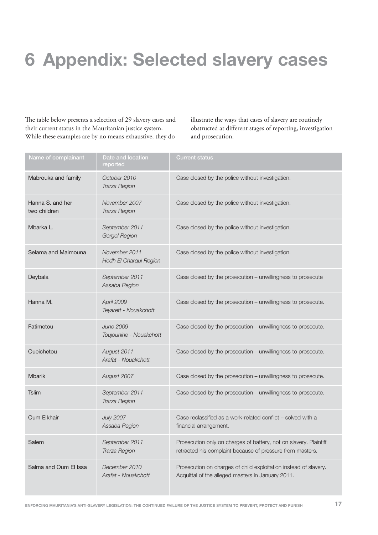# **6 Appendix: Selected slavery cases**

The table below presents a selection of 29 slavery cases and their current status in the Mauritanian justice system. While these examples are by no means exhaustive, they do

illustrate the ways that cases of slavery are routinely obstructed at different stages of reporting, investigation and prosecution.

| Name of complainant              | Date and location<br>reported               | <b>Current status</b>                                                                                                          |
|----------------------------------|---------------------------------------------|--------------------------------------------------------------------------------------------------------------------------------|
| Mabrouka and family              | October 2010<br>Trarza Region               | Case closed by the police without investigation.                                                                               |
| Hanna S. and her<br>two children | November 2007<br>Trarza Region              | Case closed by the police without investigation.                                                                               |
| Mbarka L.                        | September 2011<br><b>Gorgol Region</b>      | Case closed by the police without investigation.                                                                               |
| Selama and Maimouna              | November 2011<br>Hodh El Charqui Region     | Case closed by the police without investigation.                                                                               |
| Deybala                          | September 2011<br>Assaba Region             | Case closed by the prosecution - unwillingness to prosecute                                                                    |
| Hanna M.                         | April 2009<br>Teyarett - Nouakchott         | Case closed by the prosecution - unwillingness to prosecute.                                                                   |
| Fatimetou                        | <b>June 2009</b><br>Toujounine - Nouakchott | Case closed by the prosecution - unwillingness to prosecute.                                                                   |
| Oueichetou                       | August 2011<br>Arafat - Nouakchott          | Case closed by the prosecution - unwillingness to prosecute.                                                                   |
| <b>Mbarik</b>                    | August 2007                                 | Case closed by the prosecution - unwillingness to prosecute.                                                                   |
| <b>Tslim</b>                     | September 2011<br>Trarza Region             | Case closed by the prosecution - unwillingness to prosecute.                                                                   |
| Oum Elkhair                      | <b>July 2007</b><br>Assaba Region           | Case reclassified as a work-related conflict - solved with a<br>financial arrangement.                                         |
| Salem                            | September 2011<br>Trarza Region             | Prosecution only on charges of battery, not on slavery. Plaintiff<br>retracted his complaint because of pressure from masters. |
| Salma and Oum El Issa            | December 2010<br>Arafat - Nouakchott        | Prosecution on charges of child exploitation instead of slavery.<br>Acquittal of the alleged masters in January 2011.          |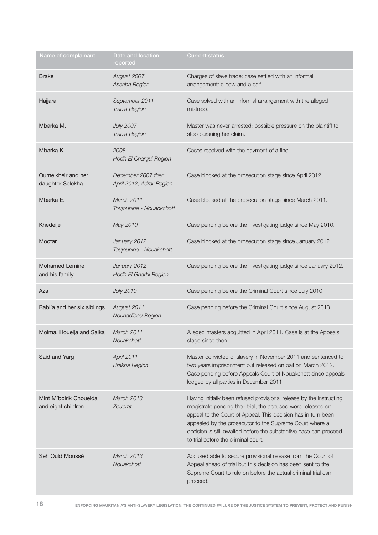| Name of complainant                          | Date and location<br>reported                  | <b>Current status</b>                                                                                                                                                                                                                                                                                                                                                        |
|----------------------------------------------|------------------------------------------------|------------------------------------------------------------------------------------------------------------------------------------------------------------------------------------------------------------------------------------------------------------------------------------------------------------------------------------------------------------------------------|
| <b>Brake</b>                                 | August 2007<br>Assaba Region                   | Charges of slave trade; case settled with an informal<br>arrangement: a cow and a calf.                                                                                                                                                                                                                                                                                      |
| Hajjara                                      | September 2011<br>Trarza Region                | Case solved with an informal arrangement with the alleged<br>mistress.                                                                                                                                                                                                                                                                                                       |
| Mbarka M.                                    | <b>July 2007</b><br>Trarza Region              | Master was never arrested; possible pressure on the plaintiff to<br>stop pursuing her claim.                                                                                                                                                                                                                                                                                 |
| Mbarka K.                                    | 2008<br>Hodh El Chargui Region                 | Cases resolved with the payment of a fine.                                                                                                                                                                                                                                                                                                                                   |
| Oumelkheir and her<br>daughter Selekha       | December 2007 then<br>April 2012, Adrar Region | Case blocked at the prosecution stage since April 2012.                                                                                                                                                                                                                                                                                                                      |
| Mbarka E.                                    | March 2011<br>Toujounine - Nouackchott         | Case blocked at the prosecution stage since March 2011.                                                                                                                                                                                                                                                                                                                      |
| Khedeije                                     | May 2010                                       | Case pending before the investigating judge since May 2010.                                                                                                                                                                                                                                                                                                                  |
| Moctar                                       | January 2012<br>Toujounine - Nouakchott        | Case blocked at the prosecution stage since January 2012.                                                                                                                                                                                                                                                                                                                    |
| Mohamed Lemine<br>and his family             | January 2012<br>Hodh El Gharbi Region          | Case pending before the investigating judge since January 2012.                                                                                                                                                                                                                                                                                                              |
| Aza                                          | <b>July 2010</b>                               | Case pending before the Criminal Court since July 2010.                                                                                                                                                                                                                                                                                                                      |
| Rabi'a and her six siblings                  | August 2011<br>Nouhadibou Region               | Case pending before the Criminal Court since August 2013.                                                                                                                                                                                                                                                                                                                    |
| Moima, Houeija and Salka                     | March 2011<br>Nouakchott                       | Alleged masters acquitted in April 2011. Case is at the Appeals<br>stage since then.                                                                                                                                                                                                                                                                                         |
| Said and Yarg                                | April 2011<br><b>Brakna Region</b>             | Master convicted of slavery in November 2011 and sentenced to<br>two years imprisonment but released on bail on March 2012.<br>Case pending before Appeals Court of Nouakchott since appeals<br>lodged by all parties in December 2011.                                                                                                                                      |
| Mint M'boirik Choueida<br>and eight children | <b>March 2013</b><br>Zouerat                   | Having initially been refused provisional release by the instructing<br>magistrate pending their trial, the accused were released on<br>appeal to the Court of Appeal. This decision has in turn been<br>appealed by the prosecutor to the Supreme Court where a<br>decision is still awaited before the substantive case can proceed<br>to trial before the criminal court. |
| Seh Ould Moussé                              | <b>March 2013</b><br>Nouakchott                | Accused able to secure provisional release from the Court of<br>Appeal ahead of trial but this decision has been sent to the<br>Supreme Court to rule on before the actual criminal trial can<br>proceed.                                                                                                                                                                    |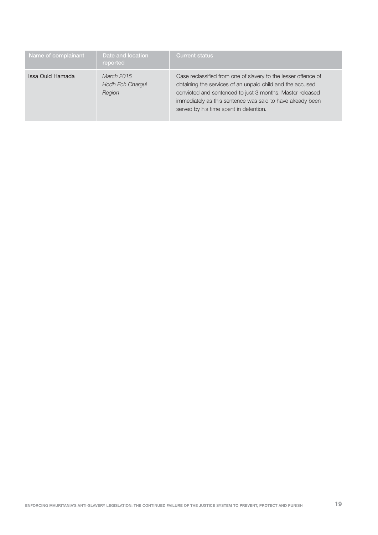| Name of complainant | Date and location<br>reported            | <b>Current status</b>                                                                                                                                                                                                                                                                            |
|---------------------|------------------------------------------|--------------------------------------------------------------------------------------------------------------------------------------------------------------------------------------------------------------------------------------------------------------------------------------------------|
| Issa Ould Hamada    | March 2015<br>Hodh Ech Chargui<br>Region | Case reclassified from one of slavery to the lesser offence of<br>obtaining the services of an unpaid child and the accused<br>convicted and sentenced to just 3 months. Master released<br>immediately as this sentence was said to have already been<br>served by his time spent in detention. |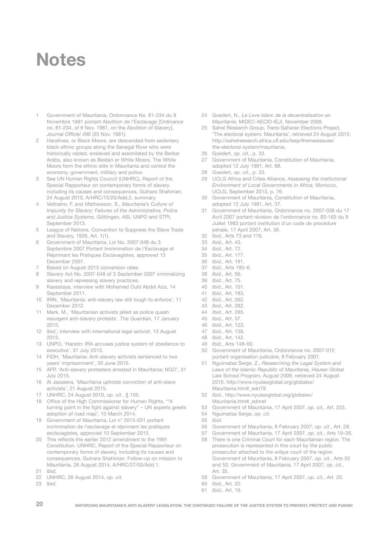# **Notes**

- 1 Government of Mauritania, Ordonnance No. 81-234 du 9 Novembre 1981 portant Abolition de l'Esclavage [Ordinance no. 81-234, of 9 Nov. 1981, on the Abolition of Slavery], Journal Officiel 496 (25 Nov. 1981).
- 2 Haratines, or Black Moors, are descended from sedentary black ethnic groups along the Senegal River who were historically raided, enslaved and assimilated by the Berber Arabs, also known as Beidan or White Moors. The White Moors form the ethnic elite in Mauritania and control the economy, government, military and police.
- 3 See UN Human Rights Council (UNHRC), Report of the Special Rapporteur on contemporary forms of slavery, including its causes and consequences, Gulnara Shahinian, 24 August 2010, A/HRC/15/20/Add.2, summary.
- 4 Vettraino, F. and Mathewson, S., Mauritania's Culture of Impunity for Slavery: Failures of the Administrative, Police and Justice Systems, Göttingen, ASI, UNPO and STPI, September 2013.
- 5 League of Nations, Convention to Suppress the Slave Trade and Slavery, 1926, Art. 1(1).
- 6 Government of Mauritania, Loi No. 2007-048 du 3 Septembre 2007 Portant Incrimination de l'Esclavage et Réprimant les Pratiques Esclavagistes, approved 13 December 2007.
- Based on August 2015 conversion rates.
- 8 Slavery Act No. 2007-048 of 3 September 2007 criminalizing slavery and repressing slavery practices.
- 9 Kassataya, interview with Mohamed Ould Abdel Aziz, 14 September 2011.
- 10 IRIN, 'Mauritania: anti-slavery law still tough to enforce', 11 December 2012.
- 11 Mark, M., 'Mauritanian activists jailed as police quash resurgent anti-slavery protests', The Guardian, 17 January 2015.
- 12 *Ibid.*; interview with international legal activist, 13 August 2015.
- 13 UNPO, 'Haratin: IRA accuses justice system of obedience to executive', 31 July 2015.
- 14 FIDH, 'Mauritania: Anti-slavery activists sentenced to two years' imprisonment', 30 June 2015.
- 15 AFP, 'Anti-slavery protesters arrested in Mauritania: NGO', 31 July 2015.
- 16 Al Jazaeera, 'Mauritania upholds conviction of anti-slave activists', 21 August 2015.
- 17 UNHRC, 24 August 2010, op. cit., § 105.
- 18 Office of the High Commissioner for Human Rights, '"A turning point in the fight against slavery" – UN experts greets adoption of road map', 10 March 2014.
- 19 Government of Mauritania, Loi n° 2015-031 portant incrimination de l'esclavage et réprimant les pratiques esclavagistes, approved 10 September 2015.
- 20 This reflects the earlier 2012 amendment to the 1991 Constitution. UNHRC, Report of the Special Rapporteur on contemporary forms of slavery, including its causes and consequences, Gulnara Shahinian: Follow-up on mission to Mauritania, 26 August 2014, A/HRC/27/53/Add.1. 21 Ibid.
- 22 UNHRC, 26 August 2014, op. cit.
- 23 Ibid.
- 24 Goedert, N., Le Livre blanc de la decentralisation en Mauritanie, MIDEC-AECID-IEJI, November 2009.
- 25 Sahel Research Group, Trans-Saharan Elections Project, 'The electoral system: Mauritania', retrieved 24 August 2015, http://sahelresearch.africa.ufl.edu/tsep/themesissues/ the-electoral-system/mauritania.
- 26 Goedert, op. cit., p. 33.
- 27 Government of Mauritania, Constitution of Mauritania, adopted 12 July 1991, Art. 98.
- 28 Goedert, op. cit., p. 33.<br>29 LICLG Africa and Cities
- UCLG Africa and Cities Alliance, Assessing the Institutional Environment of Local Governments in Africa, Morocco, UCLG, September 2013, p. 76.
- 30 Government of Mauritania, Constitution of Mauritania, adopted 12 July 1991, Art. 37.
- 31 Government of Mauritania, Ordonnance no. 2007-036 du 17 Avril 2007 portant révision de l'ordonnance no. 83-163 du 9 Juillet 1983 portant institution d'un code de procédure pénale, 17 April 2007, Art. 36.
- 32 Ibid., Arts 73 and 176.
- 33 Ibid., Art. 43.
- 34 Ibid., Art. 72.
- 35 Ibid., Art. 177.
- 36 *Ibid.*, Art. 181.<br>37 *Ibid* Arts 185
- Ibid., Arts 185–6.
- 38 Ibid., Art. 56.
- 39 Ibid., Art. 75.
- 40 Ibid., Art. 101.
- 41 Ibid., Art. 183. 42 Ibid., Art. 262.
- 43 Ibid., Art. 282.
- 44 Ibid., Art. 285.
- 
- 45 *Ibid.*, Art. 57.<br>46 *Ibid* Art 123 Ibid., Art. 123.
- 47 Ibid., Art. 138.
- 48 Ibid., Art. 142.
- 49 *Ibid.*, Arts 148–50.<br>50 Government of Ma
- 50 Government of Mauritania, Ordonnance no. 2007-012 portant organisation judicaire, 8 February 2007.
- 51 Nguimatsa Serge, Z., Researching the Legal System and Laws of the Islamic Republic of Mauritania, Hauser Global Law School Program, August 2009, retrieved 24 August 2015, http://www.nyulawglobal.org/globalex/ Mauritania.htm#\_edn78
- 52 Ibid., http://www.nyulawglobal.org/globalex/ Mauritania.htm#\_ednref
- 53 Government of Mauritania, 17 April 2007, op. cit., Art. 223.
- 54 Nguimatsa Serge, op. cit.<br>55 Ibid
- 
- 55 *Ibid.*<br>56 Gov 56 Government of Mauritania, 8 February 2007, op. cit., Art. 28.
- 57 Government of Mauritania, 17 April 2007, op. cit., Arts 19–26.
- 58 There is one Criminal Court for each Mauritanian region. The prosecution is represented in this court by the public prosecutor attached to the wilaya court of the region. Government of Mauritania, 8 February 2007, op. cit., Arts 50 and 52; Government of Mauritania, 17 April 2007, op. cit., Art. 35.
- 59 Government of Mauritania, 17 April 2007, op. cit., Art. 20.
- 60 Ibid., Art. 22.
- 61 Ibid., Art. 19.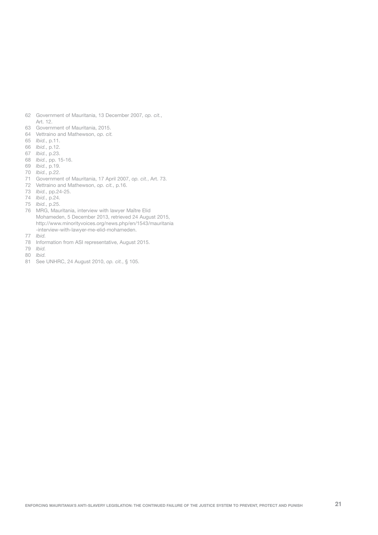- 62 Government of Mauritania, 13 December 2007, op. cit., Art. 12.
- 63 Government of Mauritania, 2015.
- 64 Vettraino and Mathewson, op. cit.
- 65 Ibid., p.11.
- 66 Ibid., p.12.
- 67 Ibid., p.23.
- 68 Ibid., pp. 15-16.
- 69 Ibid., p.19.
- 70 Ibid., p.22.
- 71 Government of Mauritania, 17 April 2007, op. cit., Art. 73.
- 72 Vettraino and Mathewson, op. cit., p.16.
- 73 Ibid., pp.24-25.
- 74 Ibid., p.24.
- 75 Ibid., p.25.
- 76 MRG, Mauritania, interview with lawyer Maître Elid Mohameden, 5 December 2013, retrieved 24 August 2015, http://www.minorityvoices.org/news.php/en/1543/mauritania -interview-with-lawyer-me-elid-mohameden.
- 77 Ibid.
- 78 Information from ASI representative, August 2015.
- 79 Ibid.
- 80 Ibid.
- 81 See UNHRC, 24 August 2010, op. cit., § 105.